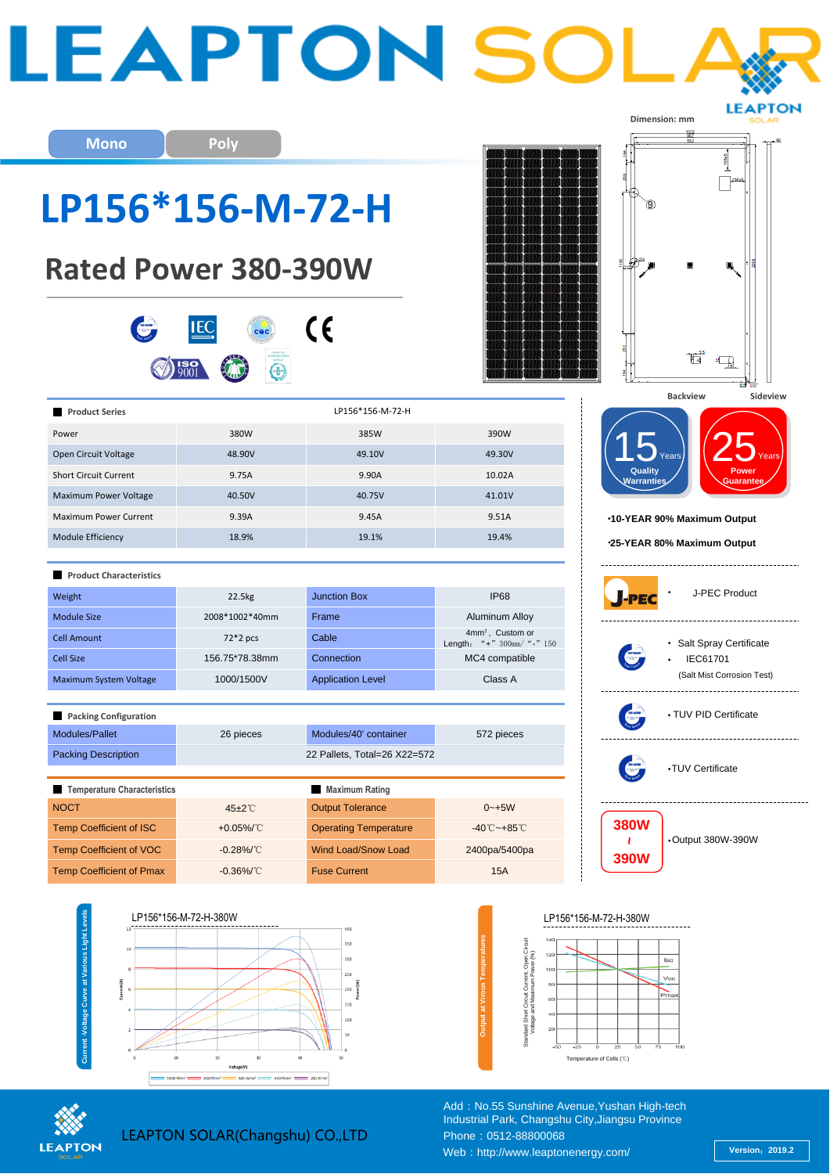| <b>Mono</b><br>LP156*156-M-72-H<br><b>Rated Power 380-390W</b> | Poly                            |                                                            |                                                     | Dimension: mm                                 |
|----------------------------------------------------------------|---------------------------------|------------------------------------------------------------|-----------------------------------------------------|-----------------------------------------------|
|                                                                |                                 | $\epsilon$                                                 |                                                     | ť                                             |
|                                                                |                                 |                                                            |                                                     | 65                                            |
| <b>Product Series</b>                                          |                                 | LP156*156-M-72-H                                           |                                                     | <b>Backview</b><br>Sideview                   |
| Power                                                          | 380W                            | 385W                                                       | 390W                                                |                                               |
| Open Circuit Voltage                                           | 48.90V                          | 49.10V                                                     | 49.30V                                              | ears                                          |
| <b>Short Circuit Current</b>                                   | 9.75A                           | 9.90A                                                      | 10.02A                                              | Quality<br>Powei<br>Varranties<br>Guarantee   |
| Maximum Power Voltage                                          | 40.50V                          | 40.75V                                                     | 41.01V                                              |                                               |
| Maximum Power Current                                          | 9.39A                           | 9.45A                                                      | 9.51A                                               | *10-YEAR 90% Maximum Output                   |
| Module Efficiency                                              | 18.9%                           | 19.1%                                                      | 19.4%                                               | *25-YEAR 80% Maximum Output                   |
| <b>Product Characteristics</b>                                 |                                 |                                                            |                                                     | J-PEC Product                                 |
| Weight                                                         | 22.5kg                          | <b>Junction Box</b>                                        | <b>IP68</b>                                         |                                               |
| <b>Module Size</b>                                             | 2008*1002*40mm                  | Frame                                                      | Aluminum Alloy<br>4mm <sup>2</sup> , Custom or      |                                               |
| <b>Cell Amount</b>                                             | $72*2$ pcs                      | Cable                                                      | Length: "+" $300$ mm/ "-" $150$                     | • Salt Spray Certificate                      |
| Cell Size                                                      | 156.75*78.38mm<br>1000/1500V    | Connection<br><b>Application Level</b>                     | MC4 compatible<br>Class A                           | <b>IEC61701</b><br>(Salt Mist Corrosion Test) |
| Maximum System Voltage                                         |                                 |                                                            |                                                     |                                               |
| Packing Configuration                                          |                                 |                                                            |                                                     | • TUV PID Certificate                         |
| Modules/Pallet<br><b>Packing Description</b>                   | 26 pieces                       | Modules/40' container<br>22 Pallets, Total=26 X22=572      | 572 pieces                                          |                                               |
|                                                                |                                 |                                                            |                                                     | •TUV Certificate                              |
|                                                                |                                 |                                                            |                                                     |                                               |
| Temperature Characteristics                                    |                                 | <b>Maximum Rating</b>                                      |                                                     |                                               |
| <b>NOCT</b>                                                    | 45±2°C                          | <b>Output Tolerance</b>                                    | $0 - +5W$                                           |                                               |
| <b>Temp Coefficient of ISC</b><br>Temp Coefficient of VOC      | + $0.05\%$ /°C<br>$-0.28\%$ /°C | <b>Operating Temperature</b><br><b>Wind Load/Snow Load</b> | $-40^{\circ}$ C ~ +85 $^{\circ}$ C<br>2400pa/5400pa | <b>380W</b><br>•Output 380W-390W<br>J.        |



Web:http://www.leaptonenergy.com/ **Version**:**2019.2**

Add: No.55 Sunshine Avenue, Yushan High-tech Industrial Park, Changshu City,Jiangsu Province

Phone: 0512-88800068